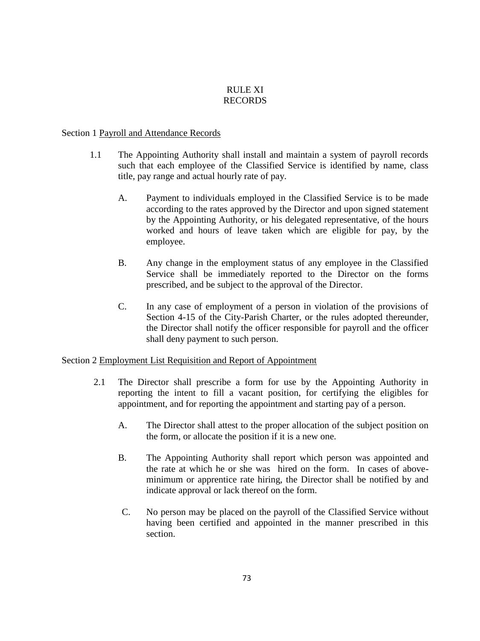## RULE XI RECORDS

### Section 1 Payroll and Attendance Records

- 1.1 The Appointing Authority shall install and maintain a system of payroll records such that each employee of the Classified Service is identified by name, class title, pay range and actual hourly rate of pay.
	- A. Payment to individuals employed in the Classified Service is to be made according to the rates approved by the Director and upon signed statement by the Appointing Authority, or his delegated representative, of the hours worked and hours of leave taken which are eligible for pay, by the employee.
	- B. Any change in the employment status of any employee in the Classified Service shall be immediately reported to the Director on the forms prescribed, and be subject to the approval of the Director.
	- C. In any case of employment of a person in violation of the provisions of Section 4-15 of the City-Parish Charter, or the rules adopted thereunder, the Director shall notify the officer responsible for payroll and the officer shall deny payment to such person.

## Section 2 Employment List Requisition and Report of Appointment

- 2.1 The Director shall prescribe a form for use by the Appointing Authority in reporting the intent to fill a vacant position, for certifying the eligibles for appointment, and for reporting the appointment and starting pay of a person.
	- A. The Director shall attest to the proper allocation of the subject position on the form, or allocate the position if it is a new one.
	- B. The Appointing Authority shall report which person was appointed and the rate at which he or she was hired on the form. In cases of aboveminimum or apprentice rate hiring, the Director shall be notified by and indicate approval or lack thereof on the form.
	- C. No person may be placed on the payroll of the Classified Service without having been certified and appointed in the manner prescribed in this section.